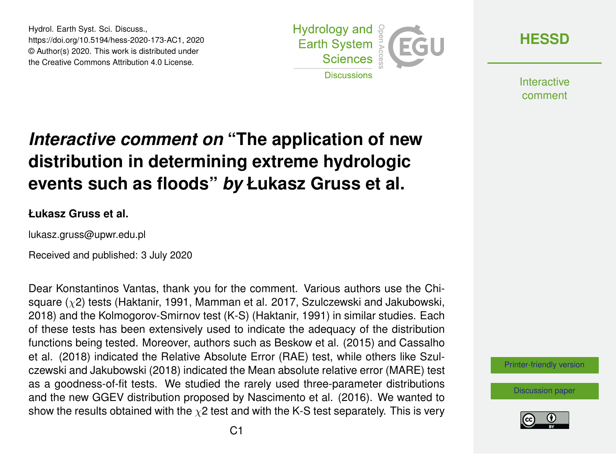Hydrol. Earth Syst. Sci. Discuss., https://doi.org/10.5194/hess-2020-173-AC1, 2020 © Author(s) 2020. This work is distributed under the Creative Commons Attribution 4.0 License.



**[HESSD](https://www.hydrol-earth-syst-sci-discuss.net/)**

**Interactive** comment

## *Interactive comment on* **"The application of new distribution in determining extreme hydrologic events such as floods"** *by* **Łukasz Gruss et al.**

## **Łukasz Gruss et al.**

lukasz.gruss@upwr.edu.pl

Received and published: 3 July 2020

Dear Konstantinos Vantas, thank you for the comment. Various authors use the Chisquare  $(y^2)$  tests (Haktanir, 1991, Mamman et al. 2017, Szulczewski and Jakubowski, 2018) and the Kolmogorov-Smirnov test (K-S) (Haktanir, 1991) in similar studies. Each of these tests has been extensively used to indicate the adequacy of the distribution functions being tested. Moreover, authors such as Beskow et al. (2015) and Cassalho et al. (2018) indicated the Relative Absolute Error (RAE) test, while others like Szulczewski and Jakubowski (2018) indicated the Mean absolute relative error (MARE) test as a goodness-of-fit tests. We studied the rarely used three-parameter distributions and the new GGEV distribution proposed by Nascimento et al. (2016). We wanted to show the results obtained with the  $\chi$ 2 test and with the K-S test separately. This is very

[Printer-friendly version](https://www.hydrol-earth-syst-sci-discuss.net/hess-2020-173/hess-2020-173-AC1-print.pdf)

[Discussion paper](https://www.hydrol-earth-syst-sci-discuss.net/hess-2020-173)

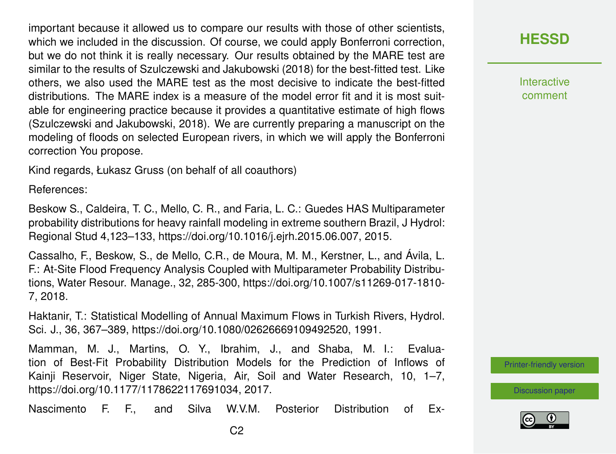important because it allowed us to compare our results with those of other scientists, which we included in the discussion. Of course, we could apply Bonferroni correction, but we do not think it is really necessary. Our results obtained by the MARE test are similar to the results of Szulczewski and Jakubowski (2018) for the best-fitted test. Like others, we also used the MARE test as the most decisive to indicate the best-fitted distributions. The MARE index is a measure of the model error fit and it is most suitable for engineering practice because it provides a quantitative estimate of high flows (Szulczewski and Jakubowski, 2018). We are currently preparing a manuscript on the modeling of floods on selected European rivers, in which we will apply the Bonferroni correction You propose.

Kind regards, Łukasz Gruss (on behalf of all coauthors)

References:

Beskow S., Caldeira, T. C., Mello, C. R., and Faria, L. C.: Guedes HAS Multiparameter probability distributions for heavy rainfall modeling in extreme southern Brazil, J Hydrol: Regional Stud 4,123–133, https://doi.org/10.1016/j.ejrh.2015.06.007, 2015.

Cassalho, F., Beskow, S., de Mello, C.R., de Moura, M. M., Kerstner, L., and Ávila, L. F.: At-Site Flood Frequency Analysis Coupled with Multiparameter Probability Distributions, Water Resour. Manage., 32, 285-300, https://doi.org/10.1007/s11269-017-1810- 7, 2018.

Haktanir, T.: Statistical Modelling of Annual Maximum Flows in Turkish Rivers, Hydrol. Sci. J., 36, 367–389, https://doi.org/10.1080/02626669109492520, 1991.

Mamman, M. J., Martins, O. Y., Ibrahim, J., and Shaba, M. I.: Evaluation of Best-Fit Probability Distribution Models for the Prediction of Inflows of Kainji Reservoir, Niger State, Nigeria, Air, Soil and Water Research, 10, 1–7, https://doi.org/10.1177/1178622117691034, 2017.

Nascimento F. F., and Silva W.V.M. Posterior Distribution of Ex-

**Interactive** comment

[Printer-friendly version](https://www.hydrol-earth-syst-sci-discuss.net/hess-2020-173/hess-2020-173-AC1-print.pdf)

[Discussion paper](https://www.hydrol-earth-syst-sci-discuss.net/hess-2020-173)